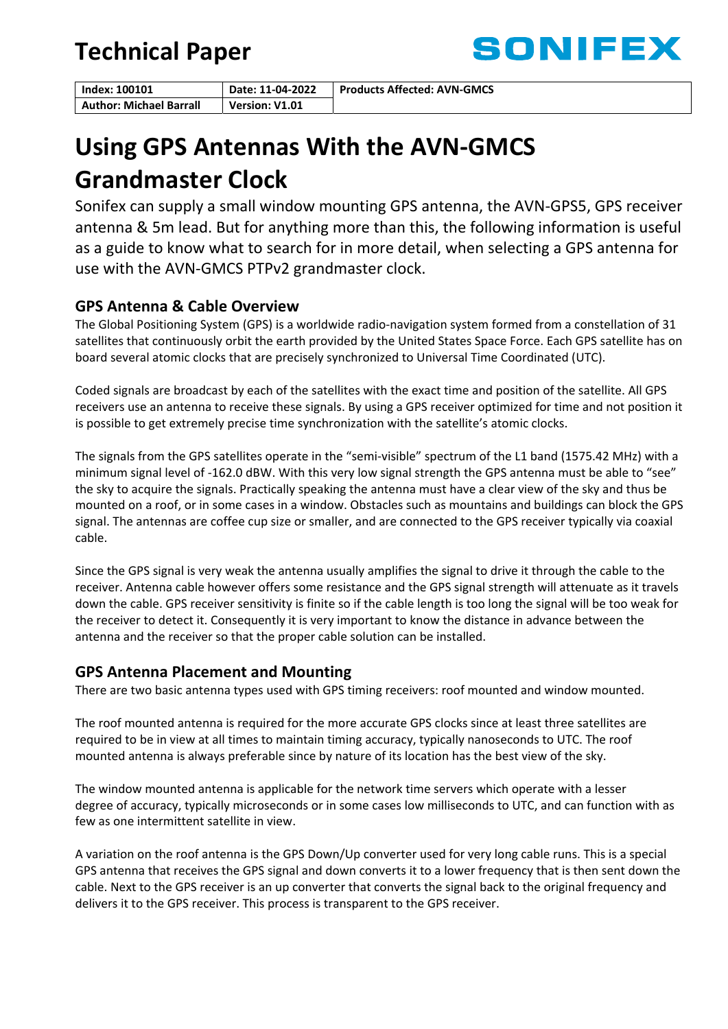## **Technical Paper**



| Index: 100101                  | Date: 11-04-2022 | <b>Products Affected: AVN-GMCS</b> |
|--------------------------------|------------------|------------------------------------|
| <b>Author: Michael Barrall</b> | Version: V1.01   |                                    |

# **Using GPS Antennas With the AVN‐GMCS Grandmaster Clock**

Sonifex can supply a small window mounting GPS antenna, the AVN‐GPS5, GPS receiver antenna & 5m lead. But for anything more than this, the following information is useful as a guide to know what to search for in more detail, when selecting a GPS antenna for use with the AVN‐GMCS PTPv2 grandmaster clock.

## **GPS Antenna & Cable Overview**

The Global Positioning System (GPS) is a worldwide radio‐navigation system formed from a constellation of 31 satellites that continuously orbit the earth provided by the United States Space Force. Each GPS satellite has on board several atomic clocks that are precisely synchronized to Universal Time Coordinated (UTC).

Coded signals are broadcast by each of the satellites with the exact time and position of the satellite. All GPS receivers use an antenna to receive these signals. By using a GPS receiver optimized for time and not position it is possible to get extremely precise time synchronization with the satellite's atomic clocks.

The signals from the GPS satellites operate in the "semi‐visible" spectrum of the L1 band (1575.42 MHz) with a minimum signal level of -162.0 dBW. With this very low signal strength the GPS antenna must be able to "see" the sky to acquire the signals. Practically speaking the antenna must have a clear view of the sky and thus be mounted on a roof, or in some cases in a window. Obstacles such as mountains and buildings can block the GPS signal. The antennas are coffee cup size or smaller, and are connected to the GPS receiver typically via coaxial cable.

Since the GPS signal is very weak the antenna usually amplifies the signal to drive it through the cable to the receiver. Antenna cable however offers some resistance and the GPS signal strength will attenuate as it travels down the cable. GPS receiver sensitivity is finite so if the cable length is too long the signal will be too weak for the receiver to detect it. Consequently it is very important to know the distance in advance between the antenna and the receiver so that the proper cable solution can be installed.

## **GPS Antenna Placement and Mounting**

There are two basic antenna types used with GPS timing receivers: roof mounted and window mounted.

The roof mounted antenna is required for the more accurate GPS clocks since at least three satellites are required to be in view at all times to maintain timing accuracy, typically nanoseconds to UTC. The roof mounted antenna is always preferable since by nature of its location has the best view of the sky.

The window mounted antenna is applicable for the network time servers which operate with a lesser degree of accuracy, typically microseconds or in some cases low milliseconds to UTC, and can function with as few as one intermittent satellite in view.

A variation on the roof antenna is the GPS Down/Up converter used for very long cable runs. This is a special GPS antenna that receives the GPS signal and down converts it to a lower frequency that is then sent down the cable. Next to the GPS receiver is an up converter that converts the signal back to the original frequency and delivers it to the GPS receiver. This process is transparent to the GPS receiver.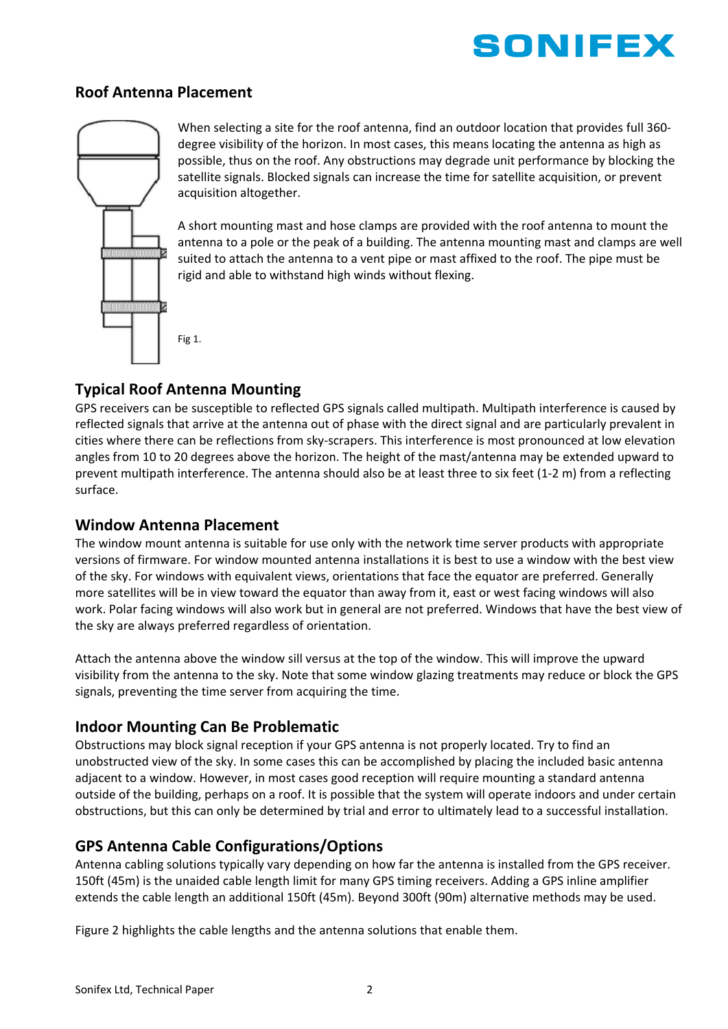

#### **Roof Antenna Placement**



When selecting a site for the roof antenna, find an outdoor location that provides full 360degree visibility of the horizon. In most cases, this means locating the antenna as high as possible, thus on the roof. Any obstructions may degrade unit performance by blocking the satellite signals. Blocked signals can increase the time for satellite acquisition, or prevent acquisition altogether.

A short mounting mast and hose clamps are provided with the roof antenna to mount the antenna to a pole or the peak of a building. The antenna mounting mast and clamps are well suited to attach the antenna to a vent pipe or mast affixed to the roof. The pipe must be rigid and able to withstand high winds without flexing.

Fig 1.

#### **Typical Roof Antenna Mounting**

GPS receivers can be susceptible to reflected GPS signals called multipath. Multipath interference is caused by reflected signals that arrive at the antenna out of phase with the direct signal and are particularly prevalent in cities where there can be reflections from sky‐scrapers. This interference is most pronounced at low elevation angles from 10 to 20 degrees above the horizon. The height of the mast/antenna may be extended upward to prevent multipath interference. The antenna should also be at least three to six feet (1‐2 m) from a reflecting surface.

#### **Window Antenna Placement**

The window mount antenna is suitable for use only with the network time server products with appropriate versions of firmware. For window mounted antenna installations it is best to use a window with the best view of the sky. For windows with equivalent views, orientations that face the equator are preferred. Generally more satellites will be in view toward the equator than away from it, east or west facing windows will also work. Polar facing windows will also work but in general are not preferred. Windows that have the best view of the sky are always preferred regardless of orientation.

Attach the antenna above the window sill versus at the top of the window. This will improve the upward visibility from the antenna to the sky. Note that some window glazing treatments may reduce or block the GPS signals, preventing the time server from acquiring the time.

## **Indoor Mounting Can Be Problematic**

Obstructions may block signal reception if your GPS antenna is not properly located. Try to find an unobstructed view of the sky. In some cases this can be accomplished by placing the included basic antenna adjacent to a window. However, in most cases good reception will require mounting a standard antenna outside of the building, perhaps on a roof. It is possible that the system will operate indoors and under certain obstructions, but this can only be determined by trial and error to ultimately lead to a successful installation.

## **GPS Antenna Cable Configurations/Options**

Antenna cabling solutions typically vary depending on how far the antenna is installed from the GPS receiver. 150ft (45m) is the unaided cable length limit for many GPS timing receivers. Adding a GPS inline amplifier extends the cable length an additional 150ft (45m). Beyond 300ft (90m) alternative methods may be used.

Figure 2 highlights the cable lengths and the antenna solutions that enable them.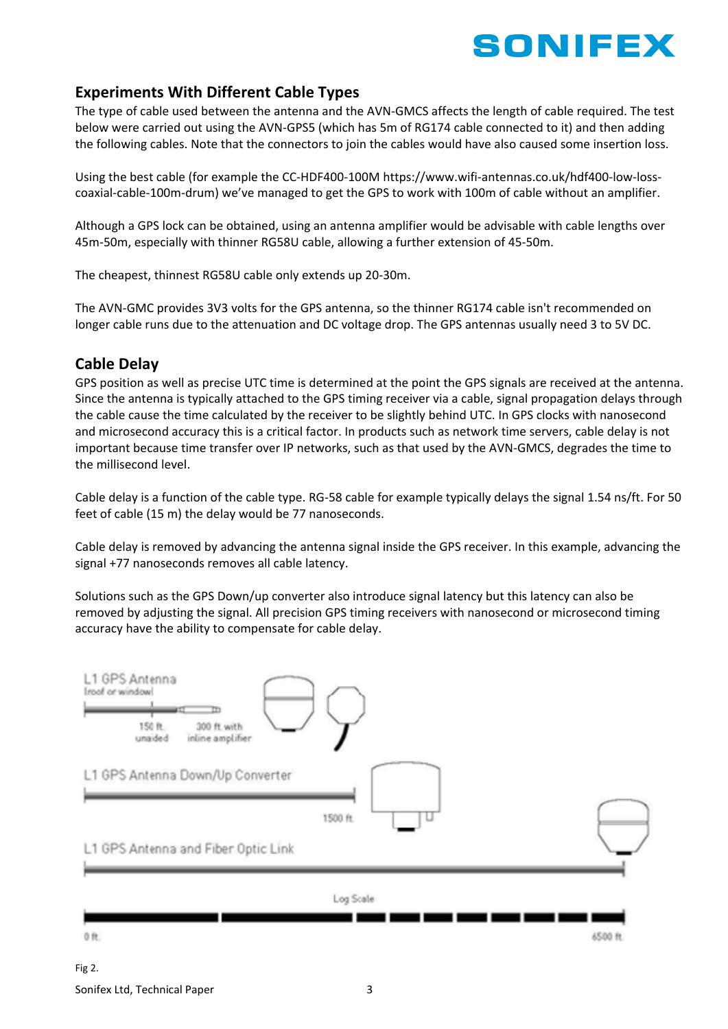

## **Experiments With Different Cable Types**

The type of cable used between the antenna and the AVN‐GMCS affects the length of cable required. The test below were carried out using the AVN‐GPS5 (which has 5m of RG174 cable connected to it) and then adding the following cables. Note that the connectors to join the cables would have also caused some insertion loss.

Using the best cable (for example the CC‐HDF400‐100M https://www.wifi‐antennas.co.uk/hdf400‐low‐loss‐ coaxial-cable-100m-drum) we've managed to get the GPS to work with 100m of cable without an amplifier.

Although a GPS lock can be obtained, using an antenna amplifier would be advisable with cable lengths over 45m‐50m, especially with thinner RG58U cable, allowing a further extension of 45‐50m.

The cheapest, thinnest RG58U cable only extends up 20‐30m.

The AVN‐GMC provides 3V3 volts for the GPS antenna, so the thinner RG174 cable isn't recommended on longer cable runs due to the attenuation and DC voltage drop. The GPS antennas usually need 3 to 5V DC.

#### **Cable Delay**

GPS position as well as precise UTC time is determined at the point the GPS signals are received at the antenna. Since the antenna is typically attached to the GPS timing receiver via a cable, signal propagation delays through the cable cause the time calculated by the receiver to be slightly behind UTC. In GPS clocks with nanosecond and microsecond accuracy this is a critical factor. In products such as network time servers, cable delay is not important because time transfer over IP networks, such as that used by the AVN‐GMCS, degrades the time to the millisecond level.

Cable delay is a function of the cable type. RG‐58 cable for example typically delays the signal 1.54 ns/ft. For 50 feet of cable (15 m) the delay would be 77 nanoseconds.

Cable delay is removed by advancing the antenna signal inside the GPS receiver. In this example, advancing the signal +77 nanoseconds removes all cable latency.

Solutions such as the GPS Down/up converter also introduce signal latency but this latency can also be removed by adjusting the signal. All precision GPS timing receivers with nanosecond or microsecond timing accuracy have the ability to compensate for cable delay.

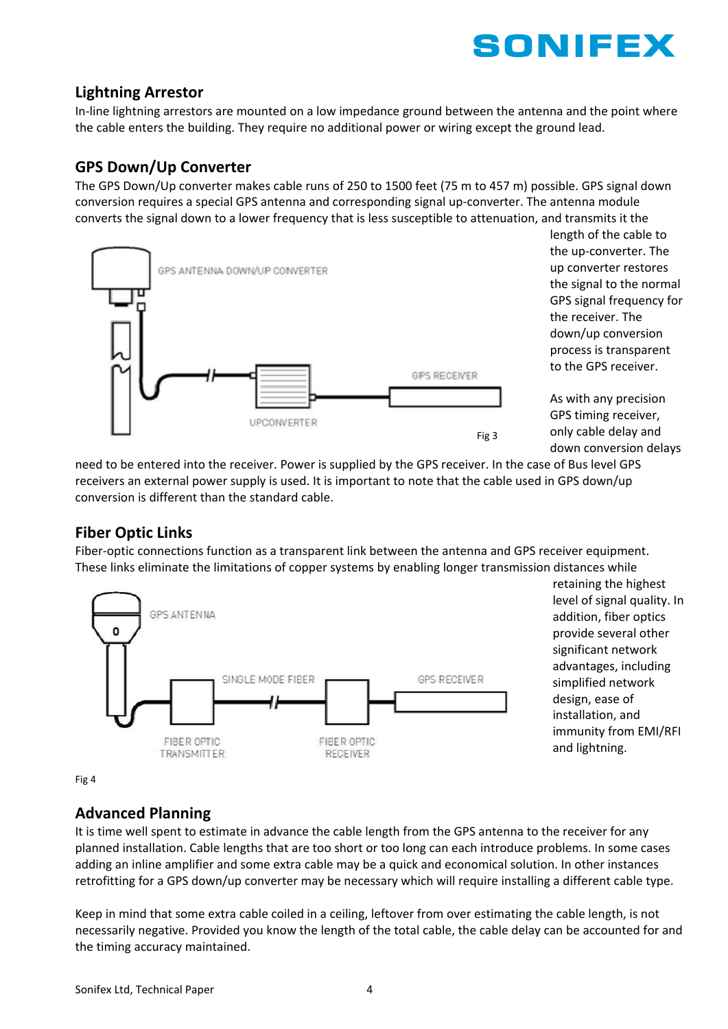

#### **Lightning Arrestor**

In‐line lightning arrestors are mounted on a low impedance ground between the antenna and the point where the cable enters the building. They require no additional power or wiring except the ground lead.

#### **GPS Down/Up Converter**

The GPS Down/Up converter makes cable runs of 250 to 1500 feet (75 m to 457 m) possible. GPS signal down conversion requires a special GPS antenna and corresponding signal up‐converter. The antenna module converts the signal down to a lower frequency that is less susceptible to attenuation, and transmits it the



length of the cable to the up‐converter. The up converter restores the signal to the normal GPS signal frequency for the receiver. The down/up conversion process is transparent to the GPS receiver.

As with any precision GPS timing receiver, only cable delay and down conversion delays

need to be entered into the receiver. Power is supplied by the GPS receiver. In the case of Bus level GPS receivers an external power supply is used. It is important to note that the cable used in GPS down/up conversion is different than the standard cable.

## **Fiber Optic Links**

Fiber-optic connections function as a transparent link between the antenna and GPS receiver equipment. These links eliminate the limitations of copper systems by enabling longer transmission distances while



retaining the highest level of signal quality. In addition, fiber optics provide several other significant network advantages, including simplified network design, ease of installation, and immunity from EMI/RFI and lightning.

Fig 4

## **Advanced Planning**

It is time well spent to estimate in advance the cable length from the GPS antenna to the receiver for any planned installation. Cable lengths that are too short or too long can each introduce problems. In some cases adding an inline amplifier and some extra cable may be a quick and economical solution. In other instances retrofitting for a GPS down/up converter may be necessary which will require installing a different cable type.

Keep in mind that some extra cable coiled in a ceiling, leftover from over estimating the cable length, is not necessarily negative. Provided you know the length of the total cable, the cable delay can be accounted for and the timing accuracy maintained.